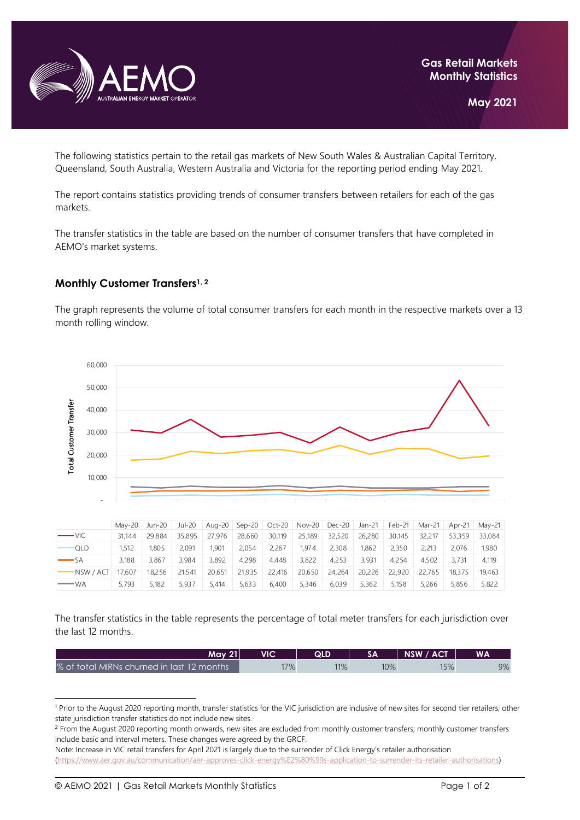

The following statistics pertain to the retail gas markets of New South Wales & Australian Capital Territory, Queensland, South Australia, Western Australia and Victoria for the reporting period ending May 2021.

The report contains statistics providing trends of consumer transfers between retailers for each of the gas markets.

The transfer statistics in the table are based on the number of consumer transfers that have completed in AEMO's market systems.

## **Monthly Customer Transfers1, <sup>2</sup>**

The graph represents the volume of total consumer transfers for each month in the respective markets over a 13 month rolling window.



|            |        | Mav-20 Jun-20 | Jul-20 |        | Aug-20 $\sqrt{2}$ Sep-20 | Oct-20 | <b>Nov-20</b> | $Dec-20$ | Jan-21 | $Feb-21$ | Mar-21 | Apr-21 | Mav-21 |
|------------|--------|---------------|--------|--------|--------------------------|--------|---------------|----------|--------|----------|--------|--------|--------|
| $ VIC$     | 31.144 | 29.884        | 35,895 | 27,976 | 28,660                   | 30,119 | 25,189        | 32,520   | 26,280 | 30.145   | 32.217 | 53,359 | 33.084 |
| QLD        | 1,512  | 1.805         | 2.091  | 1.901  | 2.054                    | 2.267  | 1.974         | 2,308    | 1,862  | 2,350    | 2,213  | 2.076  | 1,980  |
| -SA        | 3.188  | 3.867         | 3.984  | 3.892  | 4.298                    | 4.448  | 3.822         | 4.253    | 3.931  | 4.254    | 4.502  | 3.731  | 4.119  |
| $-NSW/ACT$ | 17.607 | 18.256        | 21.541 | 20,651 | 21,935                   | 22,416 | 20,650        | 24,264   | 20,226 | 22,920   | 22.765 | 18.375 | 19.463 |
| — WA       | 5.793  | 5.182         | 5.937  | 5.414  | 5.633                    | 6.400  | 5,346         | 6.039    | 5.362  | 5.158    | 5,266  | 5.856  | 5,822  |

The transfer statistics in the table represents the percentage of total meter transfers for each jurisdiction over the last 12 months.

| Mav 21                                     | VIC | QLD |     | NSW / ACT | <b>WA</b> |
|--------------------------------------------|-----|-----|-----|-----------|-----------|
| % of total MIRNs churned in last 12 months | 7%  | 11% | 10% | 15%       | 9%        |

<sup>&</sup>lt;sup>1</sup> Prior to the August 2020 reporting month, transfer statistics for the VIC jurisdiction are inclusive of new sites for second tier retailers; other state jurisdiction transfer statistics do not include new sites.

<sup>&</sup>lt;sup>2</sup> From the August 2020 reporting month onwards, new sites are excluded from monthly customer transfers; monthly customer transfers include basic and interval meters. These changes were agreed by the GRCF.

Note: Increase in VIC retail transfers for April 2021 is largely due to the surrender of Click Energy's retailer authorisation [\(https://www.aer.gov.au/communication/aer-approves-click-energy%E2%80%99s-application-to-surrender-its-retailer-authorisations\)](https://www.aer.gov.au/communication/aer-approves-click-energy%E2%80%99s-application-to-surrender-its-retailer-authorisations)